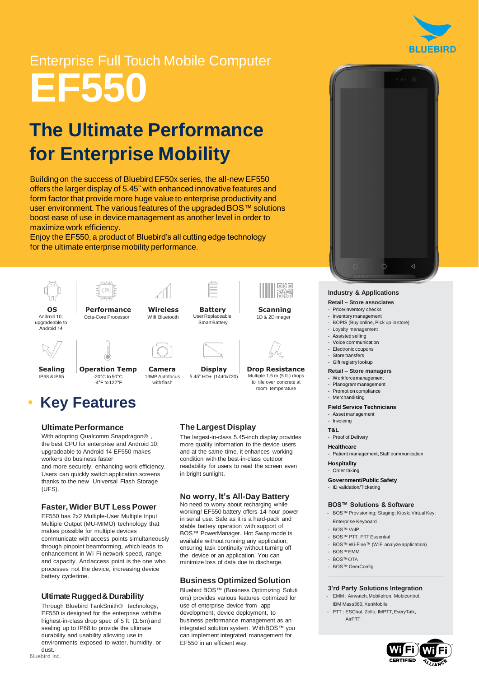

# Enterprise Full Touch Mobile Computer **EF550**

## **The Ultimate Performance for Enterprise Mobility**

Building on the success of Bluebird EF50x series, the all-new EF550 offers the larger display of 5.45" with enhanced innovative features and form factor that provide more huge value to enterprise productivity and user environment. The various features of the upgraded BOS™ solutions boost ease of use in device management as another level in order to maximize work efficiency.

Enjoy the EF550, a product of Bluebird's all cutting edge technology for the ultimate enterprise mobility performance.



## • **Key Features**

### **Ultimate Performance**

With adopting Qualcomm Snapdragon® , the best CPU for enterprise and Android 10; upgradeable to Android 14 EF550 makes workers do business faster and more securely, enhancing work efficiency.

Users can quickly switch application screens thanks to the new Universal Flash Storage (UFS).

### **Faster, Wider BUT Less Power**

EF550 has 2x2 Multiple-User Multiple Input Multiple Output (MU-MIMO) technology that makes possible for multiple devices communicate with access points simultaneously through pinpoint beamforming, which leads to enhancement in Wi-Fi network speed, range, and capacity. And access point is the one who processes not the device, increasing device battery cycle time.

### **Ultimate Rugged & Durability**

Through Bluebird TankSmith® technology, EF550 is designed for the enterprise with the highest-in-class drop spec of 5 ft. (1.5m) and sealing up to IP68 to provide the ultimate durability and usability allowing use in environments exposed to water, humidity, or dust.

### **The Largest Display**

The largest-in-class 5.45-inch display provides more quality information to the device users and at the same time, it enhances working condition with the best-in-class outdoor readability for users to read the screen even in bright sunlight.

### **No worry, It's All-Day Battery**

No need to worry about recharging while working! EF550 battery offers 14-hour power in serial use. Safe as it is a hard-pack and stable battery operation with support of BOS™ PowerManager. Hot Swap mode is available without running any application, ensuring task continuity without turning off the device or an application. You can minimize loss of data due to discharge.

### **Business OptimizedSolution**

Bluebird BOS™ (Business Optimizing Soluti ons) provides various features optimized for use of enterprise device from app development, device deployment, to business performance management as an integrated solution system. WithBOS™ you can implement integrated management for EF550 in an efficient way.



### **Industry & Applications**

### **Retail – Store associates**

- Price/Inventory checks
- Inventory management - BOPIS (Buy online, Pick up in store)
- Loyalty management
- Assisted selling
- Voice communication
- Electronic coupons
- Store transfers
- Gift registry lookup

### **Retail – Store managers**

- Workforcemanagement
- Planogram management
- Promotion compliance - Merchandising

### **Field Service Technicians**

- Asset management **Invoicing** 

**T&L**

### - Proof of Delivery

### **Healthcare** - Patient management, Staff communication

- **Hospitality**
- Order taking
- **Government/Public Safety**
- ID validation/Ticketing

### **BOS™ Solutions & Software**

- BOS™ Provisioning; Staging; Kiosk; Virtual Key; Enterprise Keyboard
- BOS™ VoIP
- BOS™ PTT, PTT Essential
- BOS™ Wi-Fine™ (WiFi analyze application)
- BOS™EMM
- BOS™OTA
- BOS™ OemConfig

### **3'rd Party Solutions Integration**

- EMM : Airwatch, MobileIron, Mobicontrol, IBM Mass360, XenMobile
- PTT : ESChat, Zello, IMPTT, EveryTalk, AirPTT

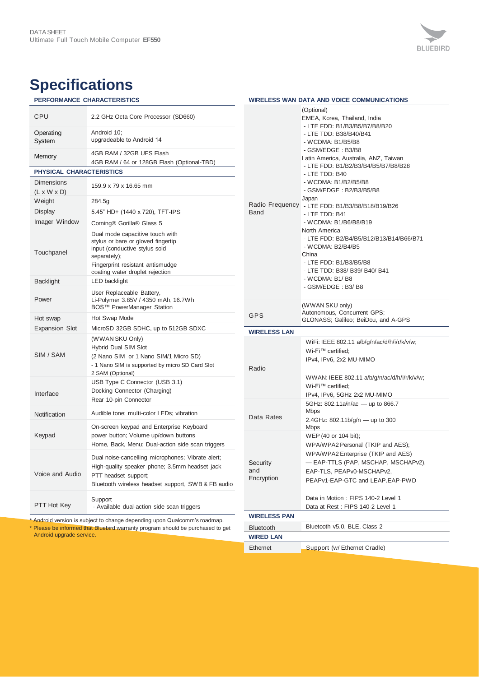## **Specifications**

| PERFORMANCE CHARACTERISTICS                  |                                                                                                                                                                                   |
|----------------------------------------------|-----------------------------------------------------------------------------------------------------------------------------------------------------------------------------------|
| CPU                                          | 2.2 GHz Octa Core Processor (SD660)                                                                                                                                               |
| Operating<br>System                          | Android 10;<br>upgradeable to Android 14                                                                                                                                          |
| Memory                                       | 4GB RAM / 32GB UFS Flash<br>4GB RAM / 64 or 128GB Flash (Optional-TBD)                                                                                                            |
| <b>PHYSICAL CHARACTERISTICS</b>              |                                                                                                                                                                                   |
| <b>Dimensions</b><br>$(L \times W \times D)$ | 159.9 x 79 x 16.65 mm                                                                                                                                                             |
| Weight                                       | 284.5g                                                                                                                                                                            |
| <b>Display</b>                               | 5.45" HD+ (1440 x 720), TFT-IPS                                                                                                                                                   |
| Imager Window                                | Corning® Gorilla® Glass 5                                                                                                                                                         |
| Touchpanel                                   | Dual mode capacitive touch with<br>stylus or bare or gloved fingertip<br>input (conductive stylus sold<br>separately);<br>Fingerprint resistant antismudge                        |
|                                              | coating water droplet rejection                                                                                                                                                   |
| <b>Backlight</b>                             | LED backlight                                                                                                                                                                     |
| Power                                        | User Replaceable Battery,<br>Li-Polymer 3.85V / 4350 mAh, 16.7Wh<br>BOS <sup>™</sup> PowerManager Station                                                                         |
| Hot swap                                     | Hot Swap Mode                                                                                                                                                                     |
| <b>Expansion Slot</b>                        | MicroSD 32GB SDHC, up to 512GB SDXC                                                                                                                                               |
| SIM / SAM                                    | (WWAN SKU Only)<br><b>Hybrid Dual SIM Slot</b><br>(2 Nano SIM or 1 Nano SIM/1 Micro SD)<br>- 1 Nano SIM is supported by micro SD Card Slot<br>2 SAM (Optional)                    |
| Interface                                    | USB Type C Connector (USB 3.1)<br>Docking Connector (Charging)<br>Rear 10-pin Connector                                                                                           |
| Notification                                 | Audible tone; multi-color LEDs; vibration                                                                                                                                         |
| Keypad                                       | On-screen keypad and Enterprise Keyboard<br>power button; Volume up/down buttons<br>Home, Back, Menu; Dual-action side scan triggers                                              |
| Voice and Audio                              | Dual noise-cancelling microphones; Vibrate alert;<br>High-quality speaker phone; 3.5mm headset jack<br>PTT headset support;<br>Bluetooth wireless headset support, SWB & FB audio |
| PTT Hot Key                                  | Support<br>- Available dual-action side scan triggers                                                                                                                             |

\* Android version is subject to change depending upon Qualcomm's roadmap. \* Please be informed that Bluebird warranty program should be purchased to get Android upgrade service.

|                                      | (Optional)                                      |
|--------------------------------------|-------------------------------------------------|
| Band                                 | EMEA, Korea, Thailand, India                    |
|                                      | - LTE FDD: B1/B3/B5/B7/B8/B20                   |
|                                      | - LTE TDD: B38/B40/B41                          |
|                                      | - WCDMA: B1/B5/B8                               |
|                                      | - GSM/EDGE: B3/B8                               |
|                                      | Latin America, Australia, ANZ, Taiwan           |
|                                      | - LTE FDD: B1/B2/B3/B4/B5/B7/B8/B28             |
|                                      | - LTE TDD: B40                                  |
|                                      | - WCDMA: B1/B2/B5/B8<br>- GSM/EDGE: B2/B3/B5/B8 |
|                                      | Japan                                           |
|                                      | Radio Frequency - LTE FDD: B1/B3/B8/B18/B19/B26 |
|                                      | - LTE TDD: B41                                  |
|                                      | - WCDMA: B1/B6/B8/B19                           |
|                                      | North America                                   |
|                                      | - LTE FDD: B2/B4/B5/B12/B13/B14/B66/B71         |
|                                      | - WCDMA: B2/B4/B5                               |
|                                      | China                                           |
|                                      | - LTE FDD: B1/B3/B5/B8                          |
|                                      | - LTE TDD: B38/ B39/ B40/ B41                   |
|                                      | - WCDMA: B1/B8<br>- GSM/EDGE : B3/ B8           |
|                                      |                                                 |
|                                      | (WWAN SKU only)                                 |
|                                      | Autonomous, Concurrent GPS;                     |
| GPS                                  | GLONASS: Galileo: BeiDou, and A-GPS             |
| <b>WIRELESS LAN</b>                  |                                                 |
|                                      |                                                 |
|                                      | WiFi: IEEE 802.11 a/b/g/n/ac/d/h/i/r/k/v/w;     |
|                                      | Wi-Fi™ certified;                               |
|                                      | IPv4, IPv6, 2x2 MU-MIMO                         |
| Radio                                |                                                 |
|                                      | WWAN: IEEE 802.11 a/b/g/n/ac/d/h/i/r/k/v/w;     |
|                                      | Wi-Fi™ certified;                               |
|                                      | IPv4, IPv6, 5GHz 2x2 MU-MIMO                    |
|                                      | 5GHz: 802.11a/n/ac - up to 866.7                |
|                                      | <b>Mbps</b>                                     |
| Data Rates                           | 2.4GHz: 802.11b/g/n - up to 300                 |
|                                      | <b>Mbps</b>                                     |
|                                      | WEP (40 or 104 bit);                            |
|                                      | WPA/WPA2 Personal (TKIP and AES);               |
|                                      | WPA/WPA2 Enterprise (TKIP and AES)              |
| Security                             | - EAP-TTLS (PAP, MSCHAP, MSCHAPv2),             |
| and<br>Encryption                    | EAP-TLS, PEAPv0-MSCHAPv2,                       |
|                                      | PEAPv1-EAP-GTC and LEAP.EAP-PWD                 |
|                                      |                                                 |
|                                      | Data in Motion: FIPS 140-2 Level 1              |
| <b>WIRELESS PAN</b>                  | Data at Rest: FIPS 140-2 Level 1                |
|                                      | Bluetooth v5.0, BLE, Class 2                    |
| <b>Bluetooth</b><br><b>WIRED LAN</b> |                                                 |
| Ethernet                             | Support (w/ Ethernet Cradle)                    |

**WIRELESS WAN DATA AND VOICE COMMUNICATIONS**